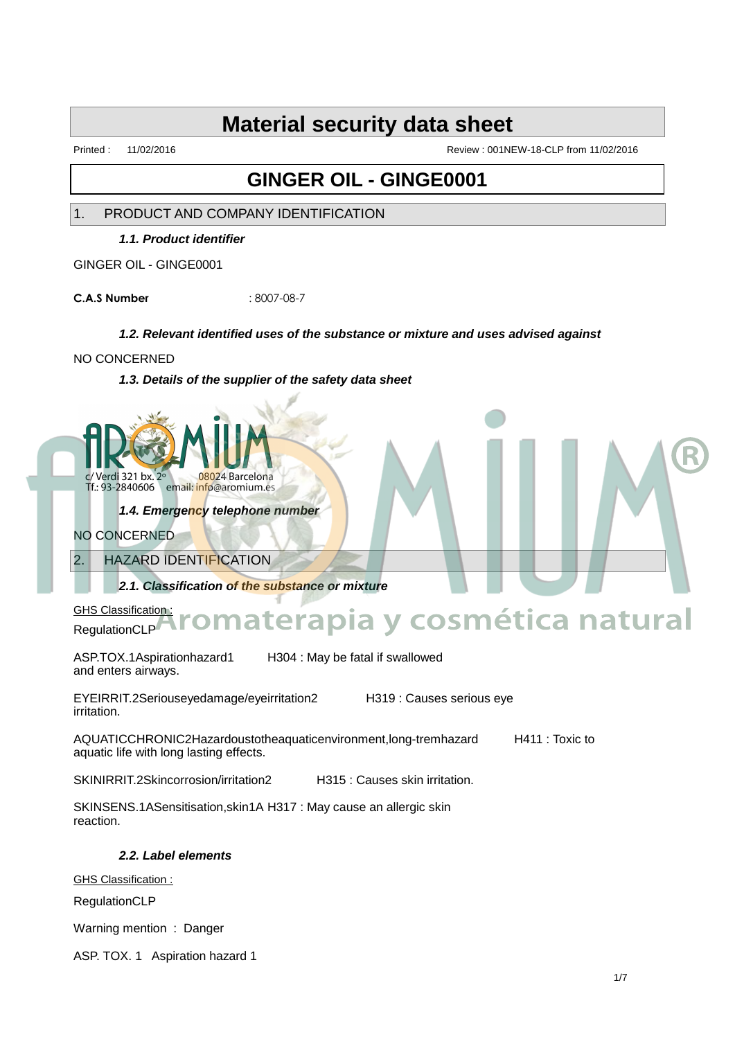Printed : 11/02/2016 Review : 001NEW-18-CLP from 11/02/2016

### **GINGER OIL - GINGE0001**

1. PRODUCT AND COMPANY IDENTIFICATION

**1.1. Product identifier**

GINGER OIL - GINGE0001

**C.A.S Number** : 8007-08-7

#### **1.2. Relevant identified uses of the substance or mixture and uses advised against**

#### NO CONCERNED

**1.3. Details of the supplier of the safety data sheet**



**1.4. Emergency telephone number**

NO CONCERNED

2. HAZARD IDENTIFICATION

**2.1. Classification of the substance or mixture**

GHS Classification: RegulationCLP

ASP.TOX.1Aspirationhazard1 H304 : May be fatal if swallowed and enters airways.

EYEIRRIT.2Seriouseyedamage/eyeirritation2 H319 : Causes serious eye irritation.

**Aromaterapia y cosmética natural**

AQUATICCHRONIC2Hazardoustotheaquaticenvironment,long-tremhazard H411 : Toxic to aquatic life with long lasting effects.

SKINIRRIT.2Skincorrosion/irritation2 H315 : Causes skin irritation.

SKINSENS.1ASensitisation,skin1A H317 : May cause an allergic skin reaction.

**2.2. Label elements**

GHS Classification :

RegulationCLP

Warning mention : Danger

ASP. TOX. 1 Aspiration hazard 1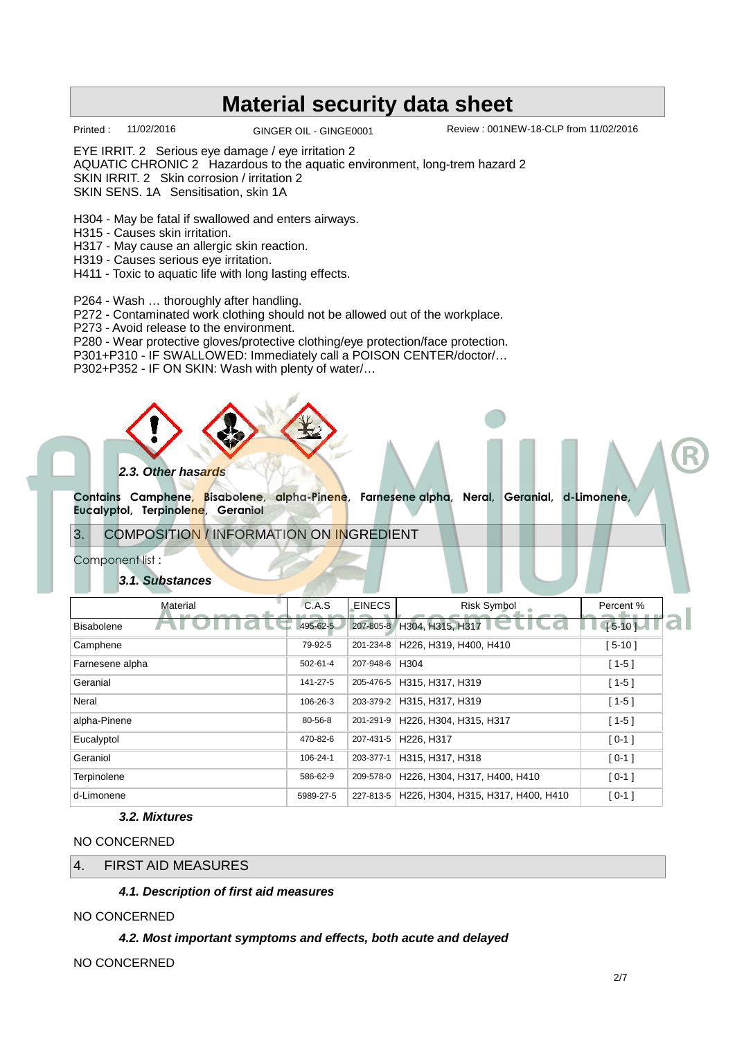Printed : 11/02/2016 GINGER OIL - GINGE0001 Review : 001NEW-18-CLP from 11/02/2016

EYE IRRIT. 2 Serious eye damage / eye irritation 2

AQUATIC CHRONIC 2 Hazardous to the aquatic environment, long-trem hazard 2

SKIN IRRIT. 2 Skin corrosion / irritation 2

SKIN SENS. 1A Sensitisation, skin 1A

H304 - May be fatal if swallowed and enters airways.

- H315 Causes skin irritation.
- H317 May cause an allergic skin reaction.

H319 - Causes serious eye irritation.

H411 - Toxic to aquatic life with long lasting effects.

P264 - Wash … thoroughly after handling.

P272 - Contaminated work clothing should not be allowed out of the workplace.

P273 - Avoid release to the environment.

P280 - Wear protective gloves/protective clothing/eye protection/face protection.

P301+P310 - IF SWALLOWED: Immediately call a POISON CENTER/doctor/…

P302+P352 - IF ON SKIN: Wash with plenty of water/…



**Contains Camphene, Bisabolene, alpha-Pinene, Farnesene alpha, Neral, Geranial, d-Limonene, Eucalyptol, Terpinolene, Geraniol** 

3. COMPOSITION / INFORMATION ON INGREDIENT

Component list :

#### **3.1. Substances**

| Material          | C.A.S     | EINECS    | <b>Risk Symbol</b>                  | Percent %  |
|-------------------|-----------|-----------|-------------------------------------|------------|
| <b>Bisabolene</b> | 495-62-5  |           | 207-805-8 H304, H315, H317 $\Box$   | $[5-10]$   |
| Camphene          | 79-92-5   | 201-234-8 | H226, H319, H400, H410              | $[5 - 10]$ |
| Farnesene alpha   | 502-61-4  | 207-948-6 | H304                                | $[1 - 5]$  |
| Geranial          | 141-27-5  | 205-476-5 | H315, H317, H319                    | $[1-5]$    |
| Neral             | 106-26-3  | 203-379-2 | H315, H317, H319                    | $[1 - 5]$  |
| alpha-Pinene      | 80-56-8   | 201-291-9 | H226, H304, H315, H317              | $[1-5]$    |
| Eucalyptol        | 470-82-6  | 207-431-5 | H <sub>226</sub> . H <sub>317</sub> | $[0-1]$    |
| Geraniol          | 106-24-1  | 203-377-1 | H315, H317, H318                    | $[0-1]$    |
| Terpinolene       | 586-62-9  | 209-578-0 | H226, H304, H317, H400, H410        | $[0-1]$    |
| d-Limonene        | 5989-27-5 | 227-813-5 | H226, H304, H315, H317, H400, H410  | $[0-1]$    |

#### **3.2. Mixtures**

NO CONCERNED

4. FIRST AID MEASURES

**4.1. Description of first aid measures**

#### NO CONCERNED

**4.2. Most important symptoms and effects, both acute and delayed**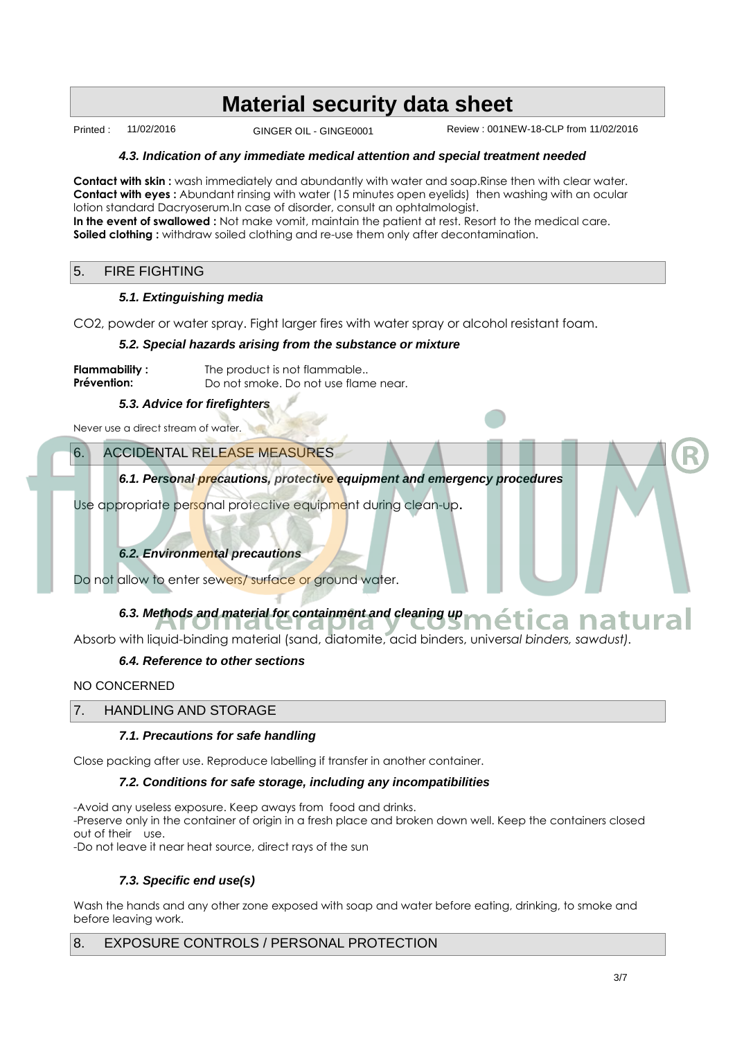Printed : 11/02/2016 GINGER OIL - GINGE0001 Review : 001NEW-18-CLP from 11/02/2016

#### **4.3. Indication of any immediate medical attention and special treatment needed**

**Contact with skin :** wash immediately and abundantly with water and soap.Rinse then with clear water. **Contact with eyes :** Abundant rinsing with water (15 minutes open eyelids) then washing with an ocular lotion standard Dacryoserum.In case of disorder, consult an ophtalmologist. **In the event of swallowed :** Not make vomit, maintain the patient at rest. Resort to the medical care. Soiled clothing : withdraw soiled clothing and re-use them only after decontamination.

#### 5. FIRE FIGHTING

#### **5.1. Extinguishing media**

CO2, powder or water spray. Fight larger fires with water spray or alcohol resistant foam.

#### **5.2. Special hazards arising from the substance or mixture**

| Flammability : | The product is not flammable         |
|----------------|--------------------------------------|
| Prévention:    | Do not smoke. Do not use flame near. |

**5.3. Advice for firefighters**

Never use a direct stream of water.

#### 6. ACCIDENTAL RELEASE MEASURES

**6.1. Personal precautions, protective equipment and emergency procedures**

Use appropriate personal protective equipment during clean-up**.**

#### **6.2. Environmental precautions**

Do not allow to enter sewers/ surface or ground water.

# 6.3. Methods and material for containment and cleaning up **mética natural**

Absorb with liquid-binding material (sand, diatomite, acid binders, univers*al binders, sawdust).*

#### **6.4. Reference to other sections**

NO CONCERNED

#### 7. HANDLING AND STORAGE

#### **7.1. Precautions for safe handling**

Close packing after use. Reproduce labelling if transfer in another container.

#### **7.2. Conditions for safe storage, including any incompatibilities**

-Avoid any useless exposure. Keep aways from food and drinks.

-Preserve only in the container of origin in a fresh place and broken down well. Keep the containers closed out of their use.

-Do not leave it near heat source, direct rays of the sun

#### **7.3. Specific end use(s)**

Wash the hands and any other zone exposed with soap and water before eating, drinking, to smoke and before leaving work.

#### 8. EXPOSURE CONTROLS / PERSONAL PROTECTION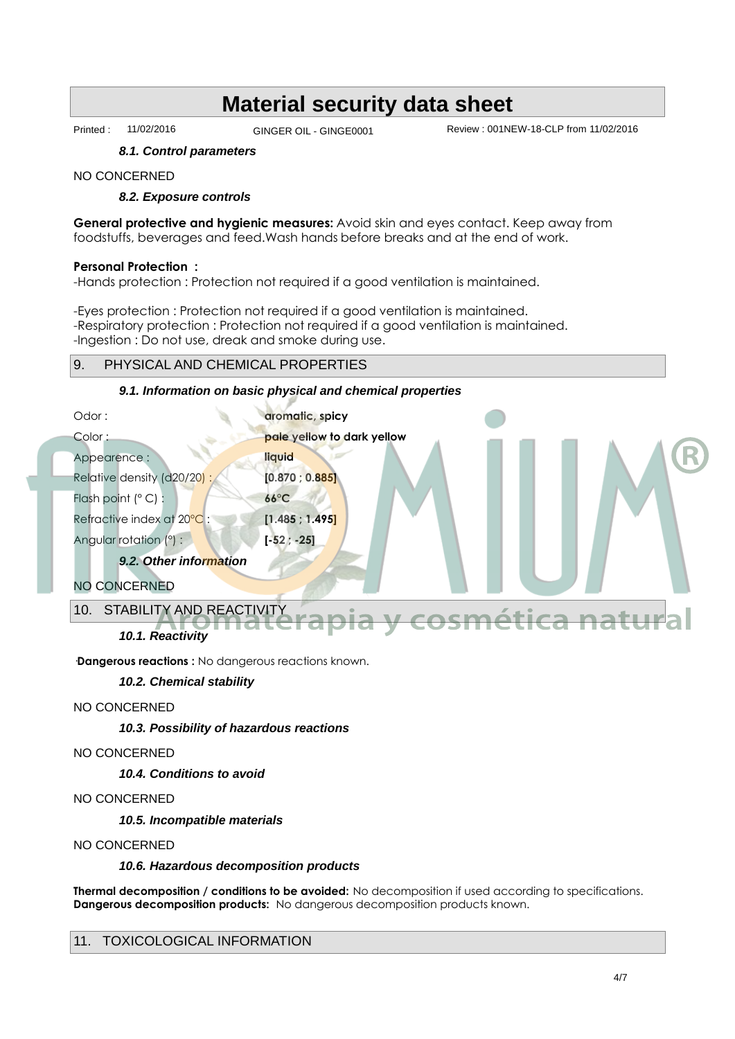Printed : 11/02/2016 GINGER OIL - GINGE0001 Review : 001NEW-18-CLP from 11/02/2016

#### **8.1. Control parameters**

#### NO CONCERNED

#### **8.2. Exposure controls**

**General protective and hygienic measures:** Avoid skin and eyes contact. Keep away from foodstuffs, beverages and feed.Wash hands before breaks and at the end of work.

#### **Personal Protection :**

-Hands protection : Protection not required if a good ventilation is maintained.

-Eyes protection : Protection not required if a good ventilation is maintained. -Respiratory protection : Protection not required if a good ventilation is maintained. -Ingestion : Do not use, dreak and smoke during use.

#### 9. PHYSICAL AND CHEMICAL PROPERTIES

#### **9.1. Information on basic physical and chemical properties**



**Dangerous reactions :** No dangerous reactions known.

#### **10.2. Chemical stability**

NO CONCERNED

**10.3. Possibility of hazardous reactions**

#### NO CONCERNED

**10.4. Conditions to avoid**

NO CONCERNED

**10.5. Incompatible materials**

NO CONCERNED

#### **10.6. Hazardous decomposition products**

**Thermal decomposition / conditions to be avoided:** No decomposition if used according to specifications. **Dangerous decomposition products:** No dangerous decomposition products known.

#### 11. TOXICOLOGICAL INFORMATION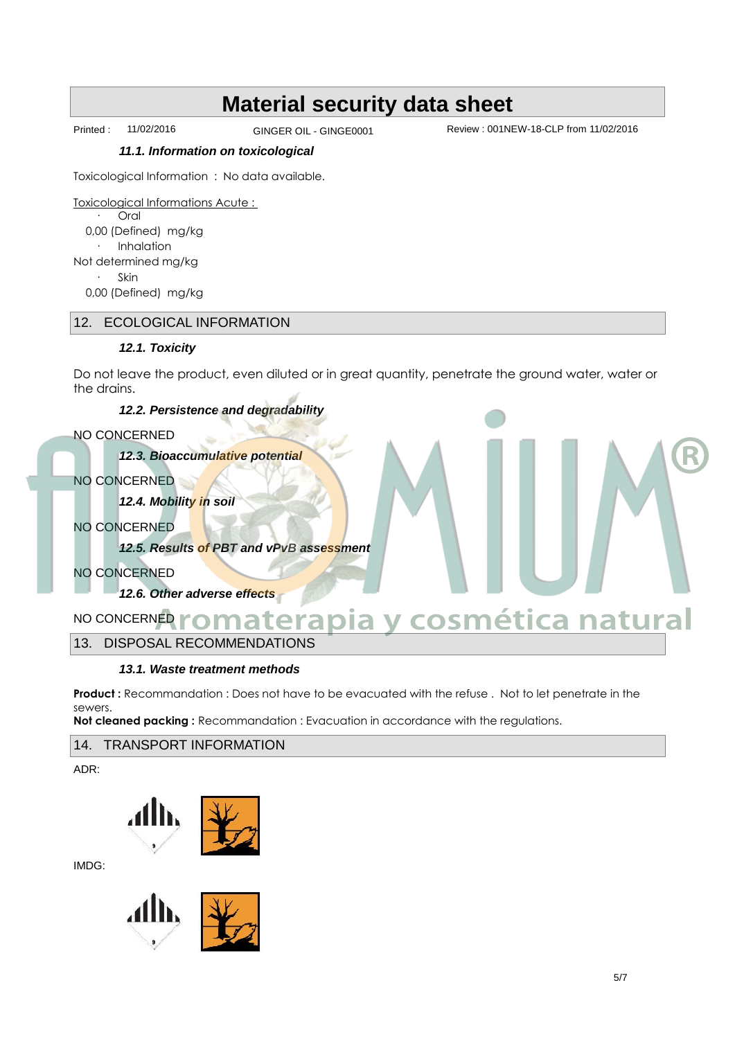Printed : 11/02/2016 GINGER OIL - GINGE0001 Review : 001NEW-18-CLP from 11/02/2016

#### **11.1. Information on toxicological**

Toxicological Information : No data available.

Toxicological Informations Acute : Oral 0,00 (Defined) mg/kg Inhalation Not determined mg/kg Skin 0,00 (Defined) mg/kg

#### 12. ECOLOGICAL INFORMATION

#### **12.1. Toxicity**

Do not leave the product, even diluted or in great quantity, penetrate the ground water, water or the drains.

#### **12.2. Persistence and degradability**

#### NO CONCERNED

**12.3. Bioaccumulative potential**

NO CONCERNED

**12.4. Mobility in soil**

NO CONCERNED

**12.5. Results of PBT and vPvB assessment**

NO CONCERNED

**12.6. Other adverse effects**

### NO CONCERNED **Aromaterapia y cosmética natural**

13. DISPOSAL RECOMMENDATIONS

#### **13.1. Waste treatment methods**

**Product :** Recommandation : Does not have to be evacuated with the refuse . Not to let penetrate in the sewers.

**Not cleaned packing :** Recommandation : Evacuation in accordance with the regulations.

#### 14. TRANSPORT INFORMATION

ADR:



IMDG:



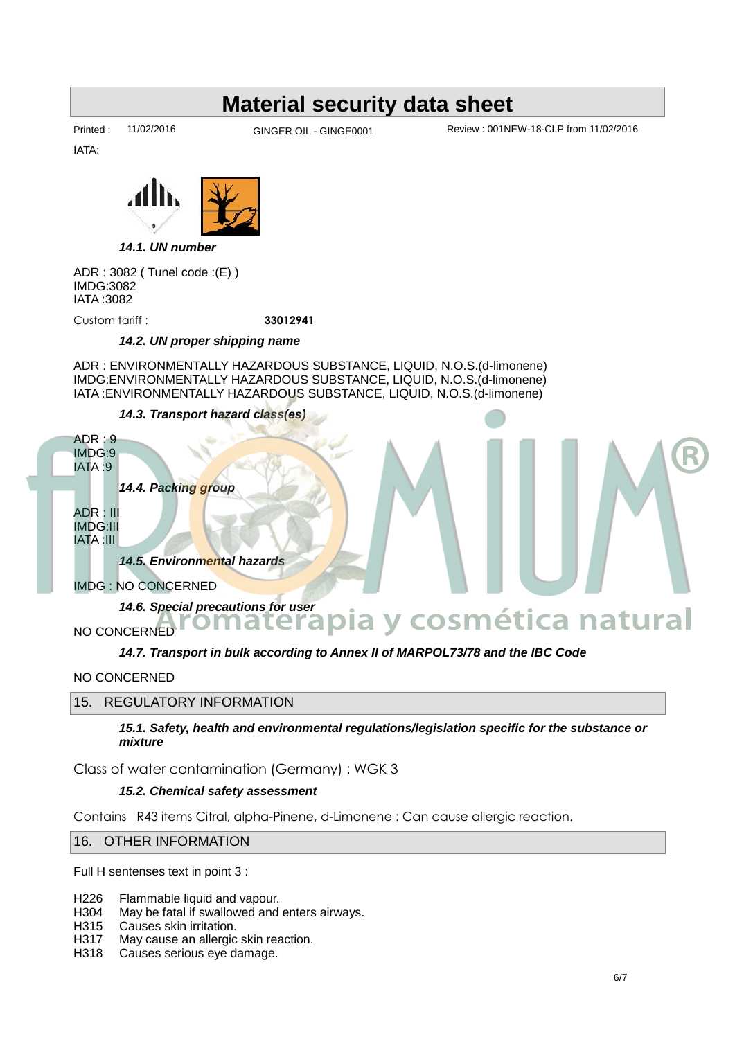IATA:

Printed : 11/02/2016 GINGER OIL - GINGE0001 Review : 001NEW-18-CLP from 11/02/2016



**14.1. UN number**

ADR : 3082 ( Tunel code :(E) ) IMDG:3082 IATA :3082

Custom tariff : **33012941**

#### **14.2. UN proper shipping name**

ADR : ENVIRONMENTALLY HAZARDOUS SUBSTANCE, LIQUID, N.O.S.(d-limonene) IMDG:ENVIRONMENTALLY HAZARDOUS SUBSTANCE, LIQUID, N.O.S.(d-limonene) IATA :ENVIRONMENTALLY HAZARDOUS SUBSTANCE, LIQUID, N.O.S.(d-limonene)

#### **14.3. Transport hazard class(es)**



NO CONCERNED

#### 15. REGULATORY INFORMATION

**15.1. Safety, health and environmental regulations/legislation specific for the substance or mixture**

Class of water contamination (Germany) : WGK 3

#### **15.2. Chemical safety assessment**

Contains R43 items Citral, alpha-Pinene, d-Limonene : Can cause allergic reaction.

#### 16. OTHER INFORMATION

Full H sentenses text in point 3 :

- H226 Flammable liquid and vapour.<br>H304 May be fatal if swallowed and
- H304 May be fatal if swallowed and enters airways.<br>H315 Causes skin irritation.
- H315 Causes skin irritation.<br>H317 May cause an allergic
- May cause an allergic skin reaction.
- H318 Causes serious eye damage.